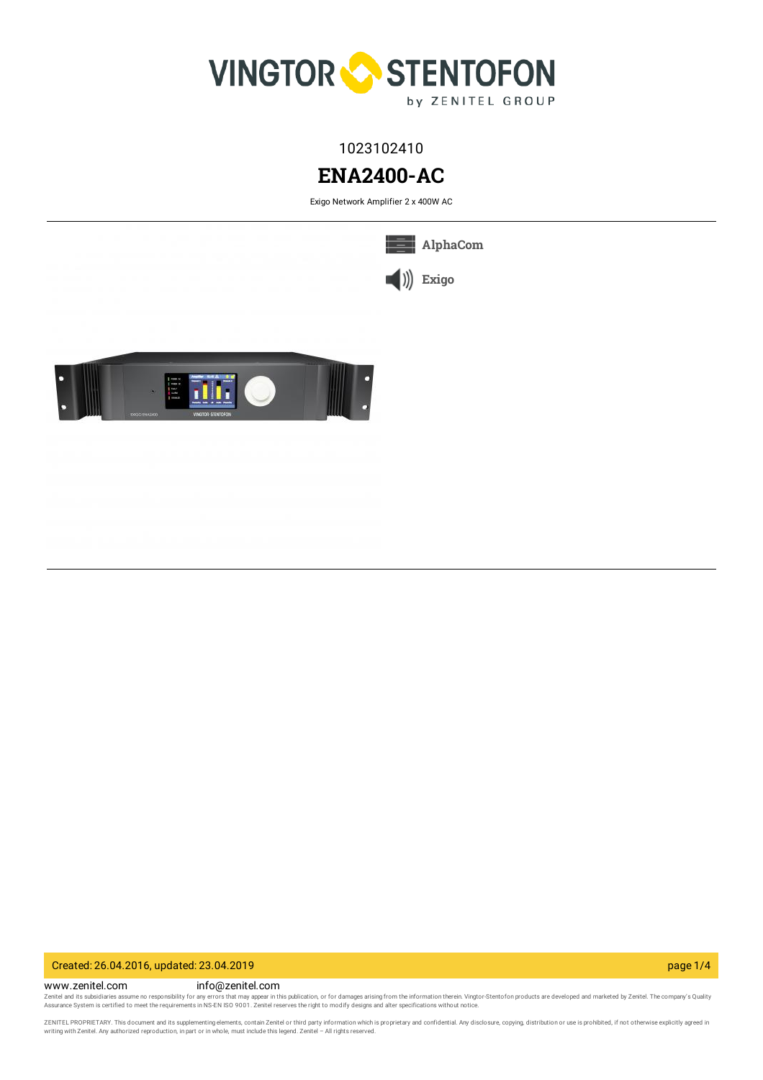

1023102410

# **ENA2400-AC**

Exigo Network Amplifier 2 x 400W AC



Created: 26.04.2016, updated: 23.04.2019 page 1/4

www.zenitel.com info@zenitel.com Zenitel and its subsidiaries assume no responsibility for any errors that may appear in this publication, or for damages arising from the information therein. Vingtor-Stentofon products are developed and marketed by Zenite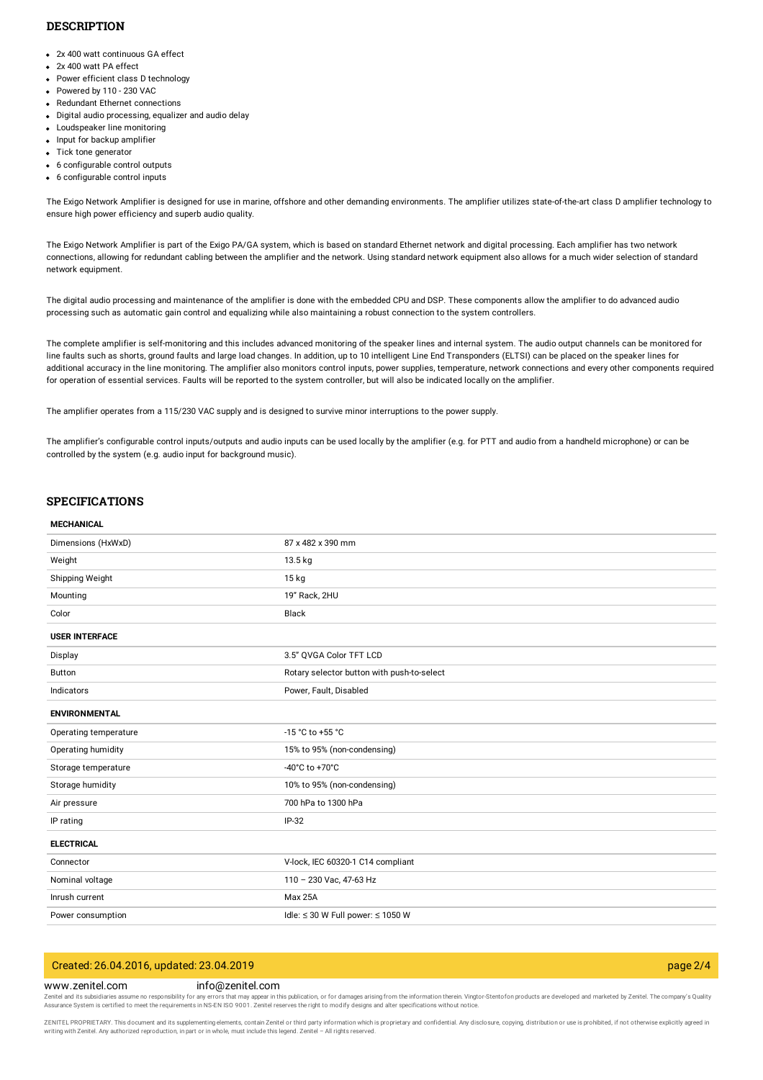#### **DESCRIPTION**

- 2x 400 watt continuous GA effect
- 2x 400 watt PA effect
- Power efficient class D technology
- Powered by 110 230 VAC
- Redundant Ethernet connections
- Digital audio processing, equalizer and audio delay
- Loudspeaker line monitoring
- Input for backup amplifier
- Tick tone generator
- 6 configurable control outputs
- 6 configurable control inputs

The Exigo Network Amplifier is designed for use in marine, offshore and other demanding environments. The amplifier utilizes state-of-the-art class D amplifier technology to ensure high power efficiency and superb audio quality.

The Exigo Network Amplifier is part of the Exigo PA/GA system, which is based on standard Ethernet network and digital processing. Each amplifier has two network connections, allowing for redundant cabling between the amplifier and the network. Using standard network equipment also allows for a much wider selection of standard network equipment.

The digital audio processing and maintenance of the amplifier is done with the embedded CPU and DSP. These components allow the amplifier to do advanced audio processing such as automatic gain control and equalizing while also maintaining a robust connection to the system controllers.

The complete amplifier is self-monitoring and this includes advanced monitoring of the speaker lines and internal system. The audio output channels can be monitored for line faults such as shorts, ground faults and large load changes. In addition, up to 10 intelligent Line End Transponders (ELTSI) can be placed on the speaker lines for additional accuracy in the line monitoring. The amplifier also monitors control inputs, power supplies, temperature, network connections and every other components required for operation of essential services. Faults will be reported to the system controller, but will also be indicated locally on the amplifier.

The amplifier operates from a 115/230 VAC supply and is designed to survive minor interruptions to the power supply.

The amplifier's configurable control inputs/outputs and audio inputs can be used locally by the amplifier (e.g. for PTT and audio from a handheld microphone) or can be controlled by the system (e.g. audio input for background music).

### **SPECIFICATIONS**

#### **MECHANICAL**

| Dimensions (HxWxD)    | 87 x 482 x 390 mm                           |
|-----------------------|---------------------------------------------|
| Weight                | 13.5 kg                                     |
| Shipping Weight       | $15$ kg                                     |
| Mounting              | 19" Rack, 2HU                               |
| Color                 | Black                                       |
| <b>USER INTERFACE</b> |                                             |
| Display               | 3.5" QVGA Color TFT LCD                     |
| <b>Button</b>         | Rotary selector button with push-to-select  |
| Indicators            | Power, Fault, Disabled                      |
| <b>ENVIRONMENTAL</b>  |                                             |
| Operating temperature | -15 °C to +55 °C                            |
| Operating humidity    | 15% to 95% (non-condensing)                 |
| Storage temperature   | -40°C to +70°C                              |
| Storage humidity      | 10% to 95% (non-condensing)                 |
| Air pressure          | 700 hPa to 1300 hPa                         |
| IP rating             | IP-32                                       |
| <b>ELECTRICAL</b>     |                                             |
| Connector             | V-lock, IEC 60320-1 C14 compliant           |
| Nominal voltage       | 110 - 230 Vac, 47-63 Hz                     |
| Inrush current        | Max 25A                                     |
| Power consumption     | Idle: $\leq$ 30 W Full power: $\leq$ 1050 W |
|                       |                                             |

| Created: 26.04.2016, updated: 23.04.2019<br>page $2/4$ |  |
|--------------------------------------------------------|--|
|--------------------------------------------------------|--|

www.zenitel.com info@zenitel.com

Zenitel and its subsidiaries assume no responsibility for any errors that may appear in this publication, or for damages arising from the information therein. Vingtor-Stentofon products are developed and marketed by Zenite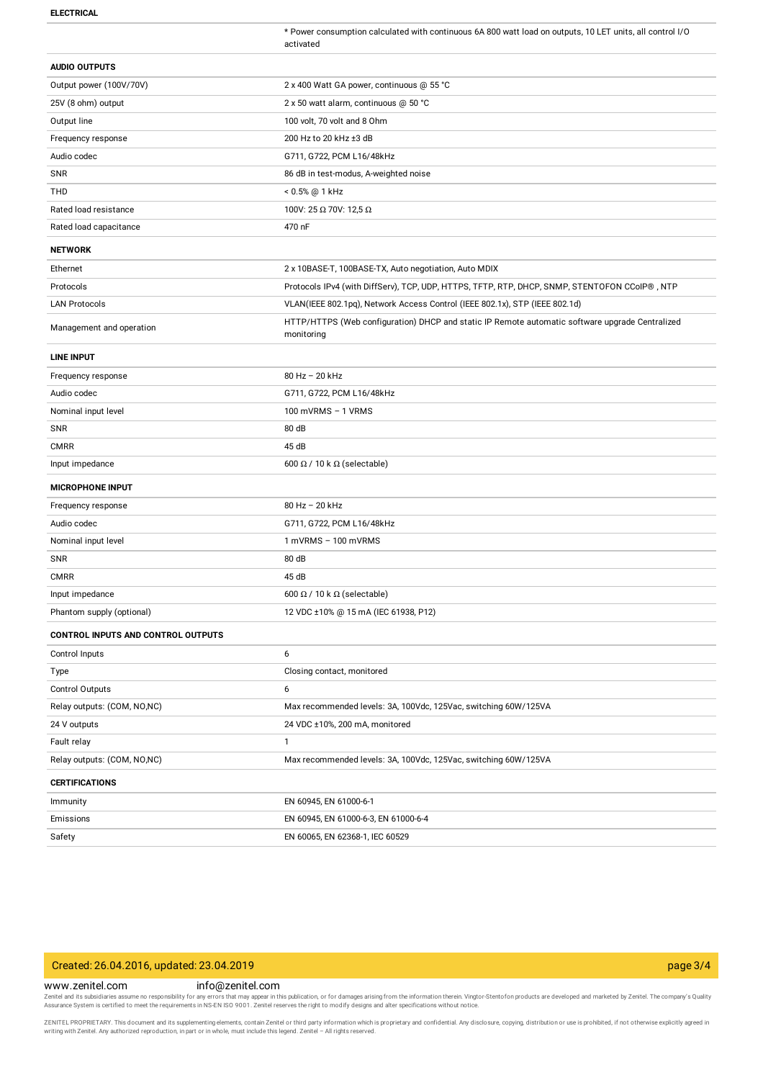**ELECTRICAL**

\* Power consumption calculated with continuous 6A 800 watt load on outputs, 10 LET units, all control I/O activated

| <b>AUDIO OUTPUTS</b>                      |                                                                                                               |
|-------------------------------------------|---------------------------------------------------------------------------------------------------------------|
| Output power (100V/70V)                   | 2 x 400 Watt GA power, continuous @ 55 °C                                                                     |
| 25V (8 ohm) output                        | 2 x 50 watt alarm, continuous @ 50 °C                                                                         |
| Output line                               | 100 volt, 70 volt and 8 Ohm                                                                                   |
| Frequency response                        | 200 Hz to 20 kHz ±3 dB                                                                                        |
| Audio codec                               | G711, G722, PCM L16/48kHz                                                                                     |
| SNR                                       | 86 dB in test-modus, A-weighted noise                                                                         |
| THD                                       | < 0.5% @ 1 kHz                                                                                                |
| Rated load resistance                     | 100V: 25 Ω 70V: 12,5 Ω                                                                                        |
| Rated load capacitance                    | 470 nF                                                                                                        |
| <b>NETWORK</b>                            |                                                                                                               |
| Ethernet                                  | 2 x 10BASE-T, 100BASE-TX, Auto negotiation, Auto MDIX                                                         |
| Protocols                                 | Protocols IPv4 (with DiffServ), TCP, UDP, HTTPS, TFTP, RTP, DHCP, SNMP, STENTOFON CCoIP®, NTP                 |
| <b>LAN Protocols</b>                      | VLAN(IEEE 802.1pq), Network Access Control (IEEE 802.1x), STP (IEEE 802.1d)                                   |
| Management and operation                  | HTTP/HTTPS (Web configuration) DHCP and static IP Remote automatic software upgrade Centralized<br>monitoring |
| <b>LINE INPUT</b>                         |                                                                                                               |
| Frequency response                        | 80 Hz - 20 kHz                                                                                                |
| Audio codec                               | G711, G722, PCM L16/48kHz                                                                                     |
| Nominal input level                       | 100 mVRMS - 1 VRMS                                                                                            |
| <b>SNR</b>                                | 80 dB                                                                                                         |
| <b>CMRR</b>                               | 45 dB                                                                                                         |
| Input impedance                           | 600 $\Omega$ / 10 k $\Omega$ (selectable)                                                                     |
| <b>MICROPHONE INPUT</b>                   |                                                                                                               |
| Frequency response                        | 80 Hz - 20 kHz                                                                                                |
| Audio codec                               | G711, G722, PCM L16/48kHz                                                                                     |
| Nominal input level                       | $1$ mVRMS $-100$ mVRMS                                                                                        |
| <b>SNR</b>                                | 80 dB                                                                                                         |
| <b>CMRR</b>                               | 45 dB                                                                                                         |
| Input impedance                           | 600 $\Omega$ / 10 k $\Omega$ (selectable)                                                                     |
| Phantom supply (optional)                 | 12 VDC ±10% @ 15 mA (IEC 61938, P12)                                                                          |
| <b>CONTROL INPUTS AND CONTROL OUTPUTS</b> |                                                                                                               |
| Control Inputs                            | 6                                                                                                             |
| Type                                      | Closing contact, monitored                                                                                    |
| Control Outputs                           | 6                                                                                                             |
| Relay outputs: (COM, NO,NC)               | Max recommended levels: 3A, 100Vdc, 125Vac, switching 60W/125VA                                               |
| 24 V outputs                              | 24 VDC ±10%, 200 mA, monitored                                                                                |
| Fault relay                               | $\mathbf{1}$                                                                                                  |
| Relay outputs: (COM, NO,NC)               | Max recommended levels: 3A, 100Vdc, 125Vac, switching 60W/125VA                                               |
| <b>CERTIFICATIONS</b>                     |                                                                                                               |
| Immunity                                  | EN 60945, EN 61000-6-1                                                                                        |
| Emissions                                 | EN 60945, EN 61000-6-3, EN 61000-6-4                                                                          |
| Safety                                    | EN 60065, EN 62368-1, IEC 60529                                                                               |

### Created: 26.04.2016, updated: 23.04.2019 page 3/4

www.zenitel.com info@zenitel.com

Zenitel and its subsidiaries assume no responsibility for any errors that may appear in this publication, or for damages arising from the information therein. Vingtor-Stentofon products are developed and marketed by Zenite